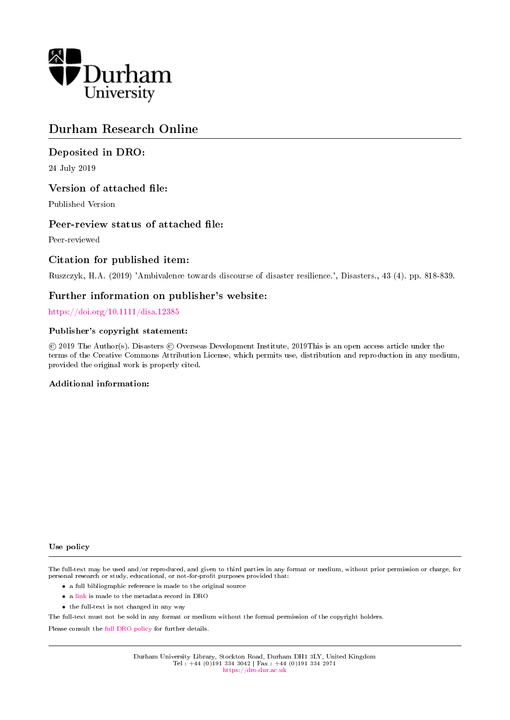

# Durham Research Online

## Deposited in DRO:

24 July 2019

## Version of attached file:

Published Version

## Peer-review status of attached file:

Peer-reviewed

## Citation for published item:

Ruszczyk, H.A. (2019) 'Ambivalence towards discourse of disaster resilience.', Disasters., 43 (4). pp. 818-839.

## Further information on publisher's website:

<https://doi.org/10.1111/disa.12385>

#### Publisher's copyright statement:

 c 2019 The Author(s). Disasters c Overseas Development Institute, 2019This is an open access article under the terms of the Creative Commons Attribution License, which permits use, distribution and reproduction in any medium, provided the original work is properly cited.

#### Additional information:

#### Use policy

The full-text may be used and/or reproduced, and given to third parties in any format or medium, without prior permission or charge, for personal research or study, educational, or not-for-profit purposes provided that:

- a full bibliographic reference is made to the original source
- a [link](http://dro.dur.ac.uk/26132/) is made to the metadata record in DRO
- the full-text is not changed in any way

The full-text must not be sold in any format or medium without the formal permission of the copyright holders.

Please consult the [full DRO policy](https://dro.dur.ac.uk/policies/usepolicy.pdf) for further details.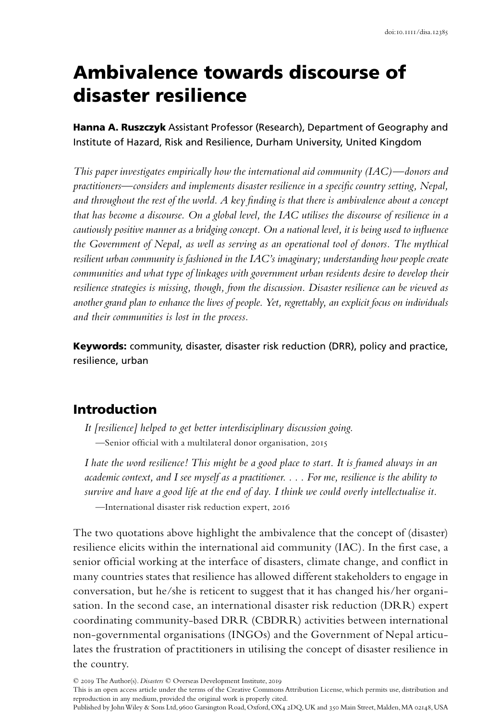# Ambivalence towards discourse of disaster resilience

Hanna A. Ruszczyk Assistant Professor (Research), Department of Geography and Institute of Hazard, Risk and Resilience, Durham University, United Kingdom

*This paper investigates empirically how the international aid community (IAC)—donors and practitioners—considers and implements disaster resilience in a specific country setting, Nepal, and throughout the rest of the world. A key finding is that there is ambivalence about a concept that has become a discourse. On a global level, the IAC utilises the discourse of resilience in a cautiously positive manner as a bridging concept. On a national level, it is being used to influence the Government of Nepal, as well as serving as an operational tool of donors. The mythical resilient urban community is fashioned in the IAC's imaginary; understanding how people create communities and what type of linkages with government urban residents desire to develop their resilience strategies is missing, though, from the discussion. Disaster resilience can be viewed as another grand plan to enhance the lives of people. Yet, regrettably, an explicit focus on individuals and their communities is lost in the process.* 

Keywords: community, disaster, disaster risk reduction (DRR), policy and practice, resilience, urban

# Introduction

*It [resilience] helped to get better interdisciplinary discussion going.*  —Senior official with a multilateral donor organisation, 2015

*I hate the word resilience! This might be a good place to start. It is framed always in an academic context, and I see myself as a practitioner. . . . For me, resilience is the ability to survive and have a good life at the end of day. I think we could overly intellectualise it.* —International disaster risk reduction expert, 2016

The two quotations above highlight the ambivalence that the concept of (disaster) resilience elicits within the international aid community (IAC). In the first case, a senior official working at the interface of disasters, climate change, and conflict in many countries states that resilience has allowed different stakeholders to engage in conversation, but he/she is reticent to suggest that it has changed his/her organisation. In the second case, an international disaster risk reduction (DRR) expert coordinating community-based DRR (CBDRR) activities between international non-governmental organisations (INGOs) and the Government of Nepal articulates the frustration of practitioners in utilising the concept of disaster resilience in the country.

© 2019 The Author(s). *Disasters* © Overseas Development Institute, 2019

This is an open access article under the terms of the Creative Commons Attribution License, which permits use, distribution and reproduction in any medium, provided the original work is properly cited.

Published by John Wiley & Sons Ltd, 9600 Garsington Road, Oxford, OX4 2DQ, UK and 350 Main Street, Malden, MA 02148, USA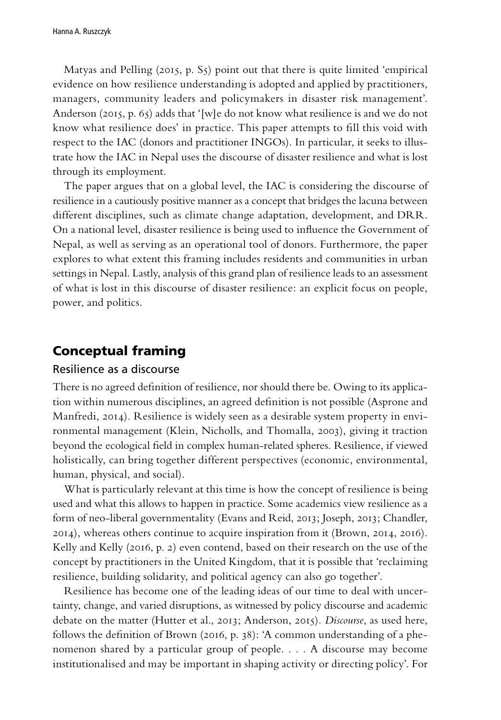Matyas and Pelling (2015, p. S5) point out that there is quite limited 'empirical evidence on how resilience understanding is adopted and applied by practitioners, managers, community leaders and policymakers in disaster risk management'. Anderson (2015, p. 65) adds that '[w]e do not know what resilience is and we do not know what resilience does' in practice. This paper attempts to fill this void with respect to the IAC (donors and practitioner INGOs). In particular, it seeks to illustrate how the IAC in Nepal uses the discourse of disaster resilience and what is lost through its employment.

The paper argues that on a global level, the IAC is considering the discourse of resilience in a cautiously positive manner as a concept that bridges the lacuna between different disciplines, such as climate change adaptation, development, and DRR. On a national level, disaster resilience is being used to influence the Government of Nepal, as well as serving as an operational tool of donors. Furthermore, the paper explores to what extent this framing includes residents and communities in urban settings in Nepal. Lastly, analysis of this grand plan of resilience leads to an assessment of what is lost in this discourse of disaster resilience: an explicit focus on people, power, and politics.

## Conceptual framing

#### Resilience as a discourse

There is no agreed definition of resilience, nor should there be. Owing to its application within numerous disciplines, an agreed definition is not possible (Asprone and Manfredi, 2014). Resilience is widely seen as a desirable system property in environmental management (Klein, Nicholls, and Thomalla, 2003), giving it traction beyond the ecological field in complex human-related spheres. Resilience, if viewed holistically, can bring together different perspectives (economic, environmental, human, physical, and social).

What is particularly relevant at this time is how the concept of resilience is being used and what this allows to happen in practice. Some academics view resilience as a form of neo-liberal governmentality (Evans and Reid, 2013; Joseph, 2013; Chandler, 2014), whereas others continue to acquire inspiration from it (Brown, 2014, 2016). Kelly and Kelly (2016, p. 2) even contend, based on their research on the use of the concept by practitioners in the United Kingdom, that it is possible that 'reclaiming resilience, building solidarity, and political agency can also go together'.

Resilience has become one of the leading ideas of our time to deal with uncertainty, change, and varied disruptions, as witnessed by policy discourse and academic debate on the matter (Hutter et al., 2013; Anderson, 2015). *Discourse*, as used here, follows the definition of Brown (2016, p. 38): 'A common understanding of a phenomenon shared by a particular group of people. . . . A discourse may become institutionalised and may be important in shaping activity or directing policy'. For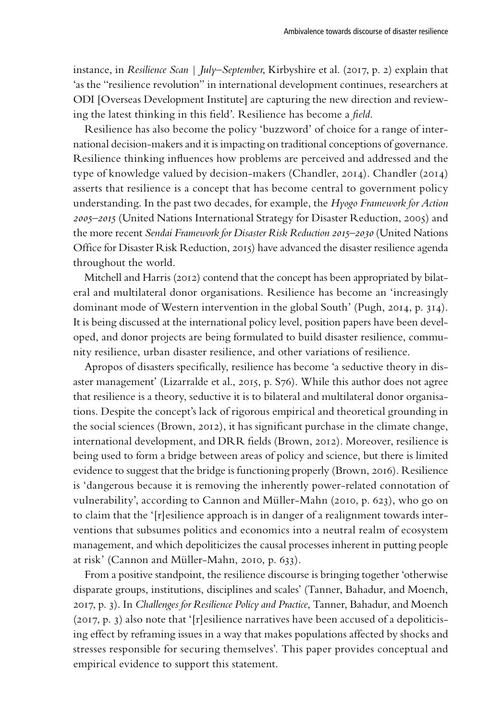instance, in *Resilience Scan* | *July–September*, Kirbyshire et al. (2017, p. 2) explain that 'as the "resilience revolution" in international development continues, researchers at ODI [Overseas Development Institute] are capturing the new direction and reviewing the latest thinking in this field'. Resilience has become a *field*.

Resilience has also become the policy 'buzzword' of choice for a range of international decision-makers and it is impacting on traditional conceptions of governance. Resilience thinking influences how problems are perceived and addressed and the type of knowledge valued by decision-makers (Chandler, 2014). Chandler (2014) asserts that resilience is a concept that has become central to government policy understanding. In the past two decades, for example, the *Hyogo Framework for Action 2005–2015* (United Nations International Strategy for Disaster Reduction, 2005) and the more recent *Sendai Framework for Disaster Risk Reduction 2015–2030* (United Nations Office for Disaster Risk Reduction, 2015) have advanced the disaster resilience agenda throughout the world.

Mitchell and Harris (2012) contend that the concept has been appropriated by bilateral and multilateral donor organisations. Resilience has become an 'increasingly dominant mode of Western intervention in the global South' (Pugh, 2014, p. 314). It is being discussed at the international policy level, position papers have been developed, and donor projects are being formulated to build disaster resilience, community resilience, urban disaster resilience, and other variations of resilience.

Apropos of disasters specifically, resilience has become 'a seductive theory in disaster management' (Lizarralde et al., 2015, p. S76). While this author does not agree that resilience is a theory, seductive it is to bilateral and multilateral donor organisations. Despite the concept's lack of rigorous empirical and theoretical grounding in the social sciences (Brown, 2012), it has significant purchase in the climate change, international development, and DRR fields (Brown, 2012). Moreover, resilience is being used to form a bridge between areas of policy and science, but there is limited evidence to suggest that the bridge is functioning properly (Brown, 2016). Resilience is 'dangerous because it is removing the inherently power-related connotation of vulnerability', according to Cannon and Müller-Mahn (2010, p. 623), who go on to claim that the '[r]esilience approach is in danger of a realignment towards interventions that subsumes politics and economics into a neutral realm of ecosystem management, and which depoliticizes the causal processes inherent in putting people at risk' (Cannon and Müller-Mahn, 2010, p. 633).

From a positive standpoint, the resilience discourse is bringing together 'otherwise disparate groups, institutions, disciplines and scales' (Tanner, Bahadur, and Moench, 2017, p. 3). In *Challenges for Resilience Policy and Practice*, Tanner, Bahadur, and Moench (2017, p. 3) also note that '[r]esilience narratives have been accused of a depoliticising effect by reframing issues in a way that makes populations affected by shocks and stresses responsible for securing themselves'. This paper provides conceptual and empirical evidence to support this statement.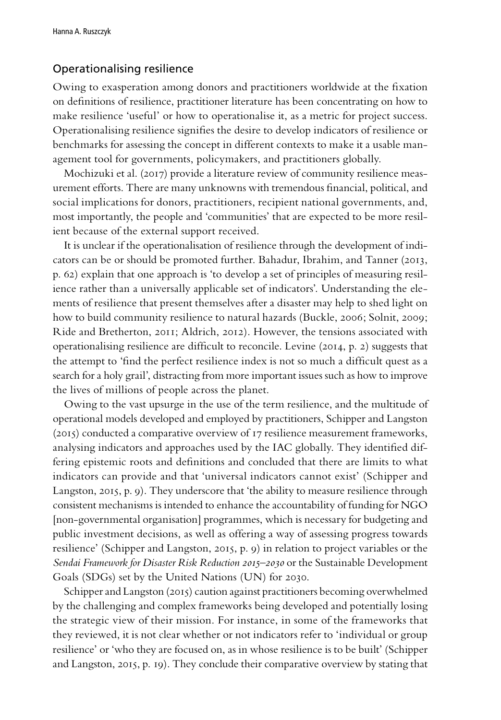## Operationalising resilience

Owing to exasperation among donors and practitioners worldwide at the fixation on definitions of resilience, practitioner literature has been concentrating on how to make resilience 'useful' or how to operationalise it, as a metric for project success. Operationalising resilience signifies the desire to develop indicators of resilience or benchmarks for assessing the concept in different contexts to make it a usable management tool for governments, policymakers, and practitioners globally.

Mochizuki et al. (2017) provide a literature review of community resilience measurement efforts. There are many unknowns with tremendous financial, political, and social implications for donors, practitioners, recipient national governments, and, most importantly, the people and 'communities' that are expected to be more resilient because of the external support received.

It is unclear if the operationalisation of resilience through the development of indicators can be or should be promoted further. Bahadur, Ibrahim, and Tanner (2013, p. 62) explain that one approach is 'to develop a set of principles of measuring resilience rather than a universally applicable set of indicators'. Understanding the elements of resilience that present themselves after a disaster may help to shed light on how to build community resilience to natural hazards (Buckle, 2006; Solnit, 2009; Ride and Bretherton, 2011; Aldrich, 2012). However, the tensions associated with operationalising resilience are difficult to reconcile. Levine (2014, p. 2) suggests that the attempt to 'find the perfect resilience index is not so much a difficult quest as a search for a holy grail', distracting from more important issues such as how to improve the lives of millions of people across the planet.

Owing to the vast upsurge in the use of the term resilience, and the multitude of operational models developed and employed by practitioners, Schipper and Langston (2015) conducted a comparative overview of 17 resilience measurement frameworks, analysing indicators and approaches used by the IAC globally. They identified differing epistemic roots and definitions and concluded that there are limits to what indicators can provide and that 'universal indicators cannot exist' (Schipper and Langston, 2015, p. 9). They underscore that 'the ability to measure resilience through consistent mechanisms is intended to enhance the accountability of funding for NGO [non-governmental organisation] programmes, which is necessary for budgeting and public investment decisions, as well as offering a way of assessing progress towards resilience' (Schipper and Langston, 2015, p. 9) in relation to project variables or the *Sendai Framework for Disaster Risk Reduction 2015–2030* or the Sustainable Development Goals (SDGs) set by the United Nations (UN) for 2030.

Schipper and Langston (2015) caution against practitioners becoming overwhelmed by the challenging and complex frameworks being developed and potentially losing the strategic view of their mission. For instance, in some of the frameworks that they reviewed, it is not clear whether or not indicators refer to 'individual or group resilience' or 'who they are focused on, as in whose resilience is to be built' (Schipper and Langston, 2015, p. 19). They conclude their comparative overview by stating that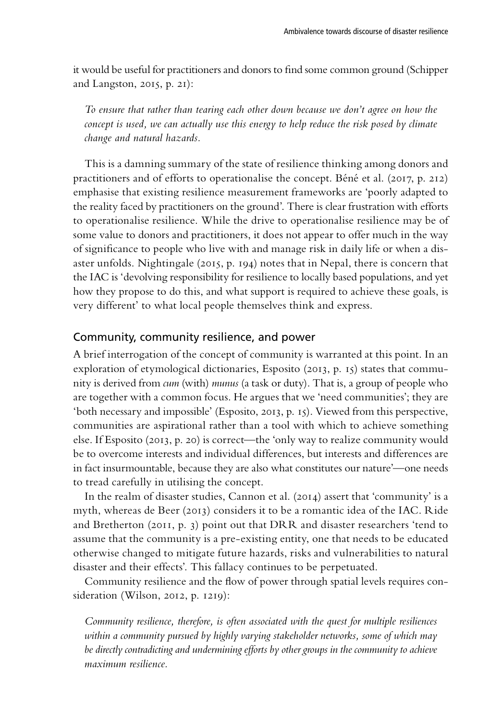it would be useful for practitioners and donors to find some common ground (Schipper and Langston, 2015, p. 21):

*To ensure that rather than tearing each other down because we don't agree on how the concept is used, we can actually use this energy to help reduce the risk posed by climate change and natural hazards.*

This is a damning summary of the state of resilience thinking among donors and practitioners and of efforts to operationalise the concept. Béné et al. (2017, p. 212) emphasise that existing resilience measurement frameworks are 'poorly adapted to the reality faced by practitioners on the ground'. There is clear frustration with efforts to operationalise resilience. While the drive to operationalise resilience may be of some value to donors and practitioners, it does not appear to offer much in the way of significance to people who live with and manage risk in daily life or when a disaster unfolds. Nightingale (2015, p. 194) notes that in Nepal, there is concern that the IAC is 'devolving responsibility for resilience to locally based populations, and yet how they propose to do this, and what support is required to achieve these goals, is very different' to what local people themselves think and express.

## Community, community resilience, and power

A brief interrogation of the concept of community is warranted at this point. In an exploration of etymological dictionaries, Esposito (2013, p. 15) states that community is derived from *cum* (with) *munus* (a task or duty). That is, a group of people who are together with a common focus. He argues that we 'need communities'; they are 'both necessary and impossible' (Esposito, 2013, p. 15). Viewed from this perspective, communities are aspirational rather than a tool with which to achieve something else. If Esposito (2013, p. 20) is correct—the 'only way to realize community would be to overcome interests and individual differences, but interests and differences are in fact insurmountable, because they are also what constitutes our nature'—one needs to tread carefully in utilising the concept.

In the realm of disaster studies, Cannon et al. (2014) assert that 'community' is a myth, whereas de Beer (2013) considers it to be a romantic idea of the IAC. Ride and Bretherton (2011, p. 3) point out that DRR and disaster researchers 'tend to assume that the community is a pre-existing entity, one that needs to be educated otherwise changed to mitigate future hazards, risks and vulnerabilities to natural disaster and their effects'. This fallacy continues to be perpetuated.

Community resilience and the flow of power through spatial levels requires consideration (Wilson, 2012, p. 1219):

*Community resilience, therefore, is often associated with the quest for multiple resiliences within a community pursued by highly varying stakeholder networks, some of which may be directly contradicting and undermining efforts by other groups in the community to achieve maximum resilience.*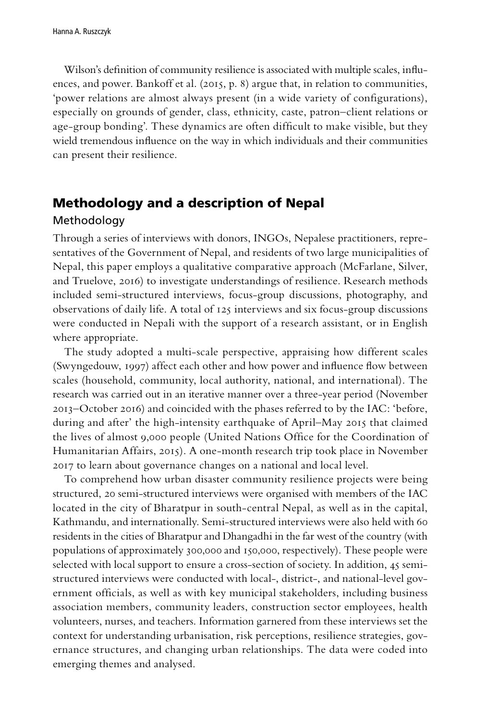Wilson's definition of community resilience is associated with multiple scales, influences, and power. Bankoff et al. (2015, p. 8) argue that, in relation to communities, 'power relations are almost always present (in a wide variety of configurations), especially on grounds of gender, class, ethnicity, caste, patron–client relations or age-group bonding'. These dynamics are often difficult to make visible, but they wield tremendous influence on the way in which individuals and their communities can present their resilience.

# Methodology and a description of Nepal

## Methodology

Through a series of interviews with donors, INGOs, Nepalese practitioners, representatives of the Government of Nepal, and residents of two large municipalities of Nepal, this paper employs a qualitative comparative approach (McFarlane, Silver, and Truelove, 2016) to investigate understandings of resilience. Research methods included semi-structured interviews, focus-group discussions, photography, and observations of daily life. A total of 125 interviews and six focus-group discussions were conducted in Nepali with the support of a research assistant, or in English where appropriate.

The study adopted a multi-scale perspective, appraising how different scales (Swyngedouw, 1997) affect each other and how power and influence flow between scales (household, community, local authority, national, and international). The research was carried out in an iterative manner over a three-year period (November 2013–October 2016) and coincided with the phases referred to by the IAC: 'before, during and after' the high-intensity earthquake of April–May 2015 that claimed the lives of almost 9,000 people (United Nations Office for the Coordination of Humanitarian Affairs, 2015). A one-month research trip took place in November 2017 to learn about governance changes on a national and local level.

To comprehend how urban disaster community resilience projects were being structured, 20 semi-structured interviews were organised with members of the IAC located in the city of Bharatpur in south-central Nepal, as well as in the capital, Kathmandu, and internationally. Semi-structured interviews were also held with 60 residents in the cities of Bharatpur and Dhangadhi in the far west of the country (with populations of approximately 300,000 and 150,000, respectively). These people were selected with local support to ensure a cross-section of society. In addition, 45 semistructured interviews were conducted with local-, district-, and national-level government officials, as well as with key municipal stakeholders, including business association members, community leaders, construction sector employees, health volunteers, nurses, and teachers. Information garnered from these interviews set the context for understanding urbanisation, risk perceptions, resilience strategies, governance structures, and changing urban relationships. The data were coded into emerging themes and analysed.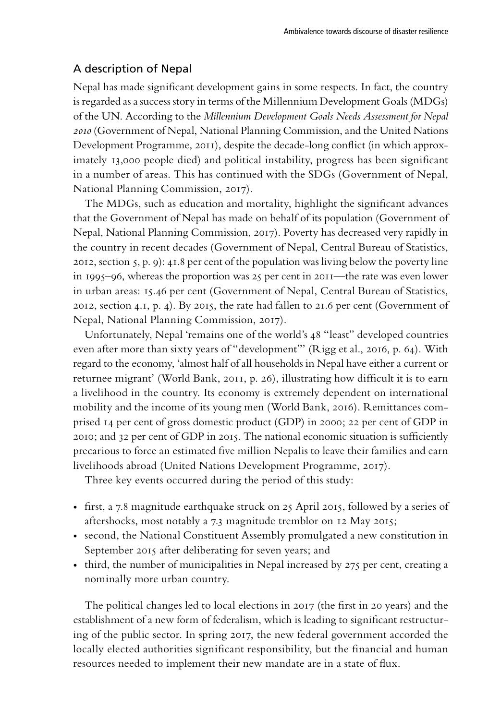## A description of Nepal

Nepal has made significant development gains in some respects. In fact, the country is regarded as a success story in terms of the Millennium Development Goals (MDGs) of the UN. According to the *Millennium Development Goals Needs Assessment for Nepal 2010* (Government of Nepal, National Planning Commission, and the United Nations Development Programme, 2011), despite the decade-long conflict (in which approximately 13,000 people died) and political instability, progress has been significant in a number of areas. This has continued with the SDGs (Government of Nepal, National Planning Commission, 2017).

The MDGs, such as education and mortality, highlight the significant advances that the Government of Nepal has made on behalf of its population (Government of Nepal, National Planning Commission, 2017). Poverty has decreased very rapidly in the country in recent decades (Government of Nepal, Central Bureau of Statistics, 2012, section 5, p. 9): 41.8 per cent of the population was living below the poverty line in 1995–96, whereas the proportion was 25 per cent in 2011—the rate was even lower in urban areas: 15.46 per cent (Government of Nepal, Central Bureau of Statistics, 2012, section 4.1, p. 4). By 2015, the rate had fallen to 21.6 per cent (Government of Nepal, National Planning Commission, 2017).

Unfortunately, Nepal 'remains one of the world's 48 "least" developed countries even after more than sixty years of "development"' (Rigg et al., 2016, p. 64). With regard to the economy, 'almost half of all households in Nepal have either a current or returnee migrant' (World Bank, 2011, p. 26), illustrating how difficult it is to earn a livelihood in the country. Its economy is extremely dependent on international mobility and the income of its young men (World Bank, 2016). Remittances comprised 14 per cent of gross domestic product (GDP) in 2000; 22 per cent of GDP in 2010; and 32 per cent of GDP in 2015. The national economic situation is sufficiently precarious to force an estimated five million Nepalis to leave their families and earn livelihoods abroad (United Nations Development Programme, 2017).

Three key events occurred during the period of this study:

- first, a 7.8 magnitude earthquake struck on 25 April 2015, followed by a series of aftershocks, most notably a 7.3 magnitude tremblor on 12 May 2015;
- second, the National Constituent Assembly promulgated a new constitution in September 2015 after deliberating for seven years; and
- third, the number of municipalities in Nepal increased by 275 per cent, creating a nominally more urban country.

The political changes led to local elections in 2017 (the first in 20 years) and the establishment of a new form of federalism, which is leading to significant restructuring of the public sector. In spring 2017, the new federal government accorded the locally elected authorities significant responsibility, but the financial and human resources needed to implement their new mandate are in a state of flux.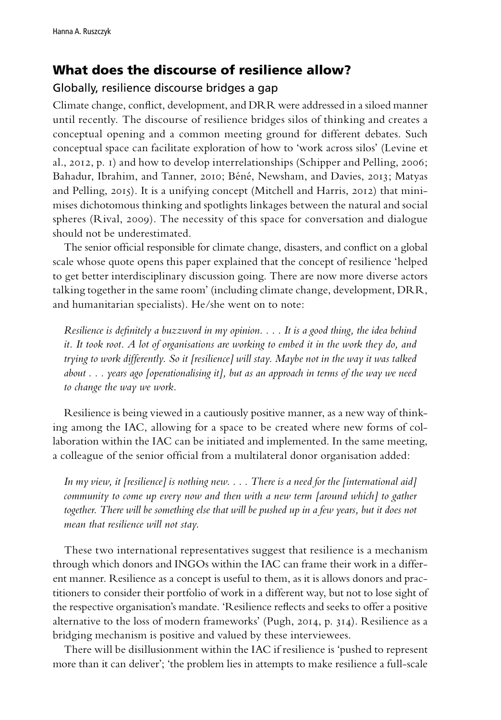# What does the discourse of resilience allow?

## Globally, resilience discourse bridges a gap

Climate change, conflict, development, and DRR were addressed in a siloed manner until recently. The discourse of resilience bridges silos of thinking and creates a conceptual opening and a common meeting ground for different debates. Such conceptual space can facilitate exploration of how to 'work across silos' (Levine et al., 2012, p. 1) and how to develop interrelationships (Schipper and Pelling, 2006; Bahadur, Ibrahim, and Tanner, 2010; Béné, Newsham, and Davies, 2013; Matyas and Pelling, 2015). It is a unifying concept (Mitchell and Harris, 2012) that minimises dichotomous thinking and spotlights linkages between the natural and social spheres (Rival, 2009). The necessity of this space for conversation and dialogue should not be underestimated.

The senior official responsible for climate change, disasters, and conflict on a global scale whose quote opens this paper explained that the concept of resilience 'helped to get better interdisciplinary discussion going. There are now more diverse actors talking together in the same room' (including climate change, development, DRR, and humanitarian specialists). He/she went on to note:

*Resilience is definitely a buzzword in my opinion. . . . It is a good thing, the idea behind it. It took root. A lot of organisations are working to embed it in the work they do, and trying to work differently. So it [resilience] will stay. Maybe not in the way it was talked about . . . years ago [operationalising it], but as an approach in terms of the way we need to change the way we work.*

Resilience is being viewed in a cautiously positive manner, as a new way of thinking among the IAC, allowing for a space to be created where new forms of collaboration within the IAC can be initiated and implemented. In the same meeting, a colleague of the senior official from a multilateral donor organisation added:

*In my view, it [resilience] is nothing new. . . . There is a need for the [international aid] community to come up every now and then with a new term [around which] to gather together. There will be something else that will be pushed up in a few years, but it does not mean that resilience will not stay.* 

These two international representatives suggest that resilience is a mechanism through which donors and INGOs within the IAC can frame their work in a different manner. Resilience as a concept is useful to them, as it is allows donors and practitioners to consider their portfolio of work in a different way, but not to lose sight of the respective organisation's mandate. 'Resilience reflects and seeks to offer a positive alternative to the loss of modern frameworks' (Pugh, 2014, p. 314). Resilience as a bridging mechanism is positive and valued by these interviewees.

There will be disillusionment within the IAC if resilience is 'pushed to represent more than it can deliver'; 'the problem lies in attempts to make resilience a full-scale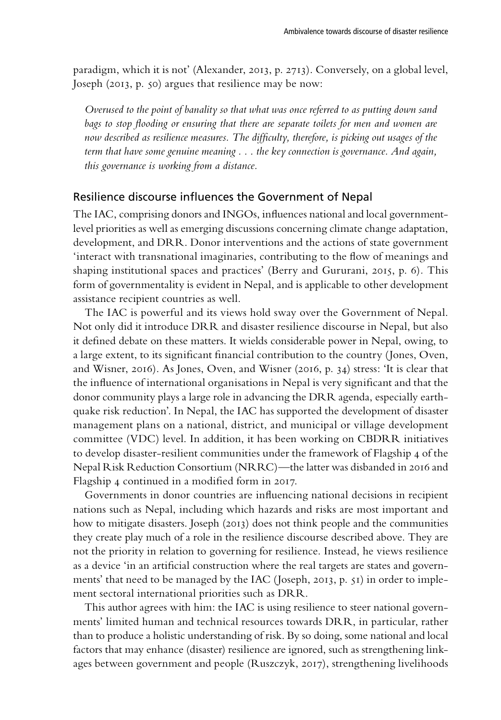paradigm, which it is not' (Alexander, 2013, p. 2713). Conversely, on a global level, Joseph (2013, p. 50) argues that resilience may be now:

*Overused to the point of banality so that what was once referred to as putting down sand bags to stop flooding or ensuring that there are separate toilets for men and women are now described as resilience measures. The difficulty, therefore, is picking out usages of the term that have some genuine meaning . . . the key connection is governance. And again, this governance is working from a distance.*

#### Resilience discourse influences the Government of Nepal

The IAC, comprising donors and INGOs, influences national and local governmentlevel priorities as well as emerging discussions concerning climate change adaptation, development, and DRR. Donor interventions and the actions of state government 'interact with transnational imaginaries, contributing to the flow of meanings and shaping institutional spaces and practices' (Berry and Gururani, 2015, p. 6)*.* This form of governmentality is evident in Nepal, and is applicable to other development assistance recipient countries as well.

The IAC is powerful and its views hold sway over the Government of Nepal. Not only did it introduce DRR and disaster resilience discourse in Nepal, but also it defined debate on these matters. It wields considerable power in Nepal, owing, to a large extent, to its significant financial contribution to the country (Jones, Oven, and Wisner, 2016). As Jones, Oven, and Wisner (2016, p. 34) stress: 'It is clear that the influence of international organisations in Nepal is very significant and that the donor community plays a large role in advancing the DRR agenda, especially earthquake risk reduction'. In Nepal, the IAC has supported the development of disaster management plans on a national, district, and municipal or village development committee (VDC) level. In addition, it has been working on CBDRR initiatives to develop disaster-resilient communities under the framework of Flagship 4 of the Nepal Risk Reduction Consortium (NRRC)—the latter was disbanded in 2016 and Flagship 4 continued in a modified form in 2017.

Governments in donor countries are influencing national decisions in recipient nations such as Nepal, including which hazards and risks are most important and how to mitigate disasters. Joseph (2013) does not think people and the communities they create play much of a role in the resilience discourse described above. They are not the priority in relation to governing for resilience. Instead, he views resilience as a device 'in an artificial construction where the real targets are states and governments' that need to be managed by the IAC (Joseph, 2013, p. 51) in order to implement sectoral international priorities such as DRR.

This author agrees with him: the IAC is using resilience to steer national governments' limited human and technical resources towards DRR, in particular, rather than to produce a holistic understanding of risk. By so doing, some national and local factors that may enhance (disaster) resilience are ignored, such as strengthening linkages between government and people (Ruszczyk, 2017), strengthening livelihoods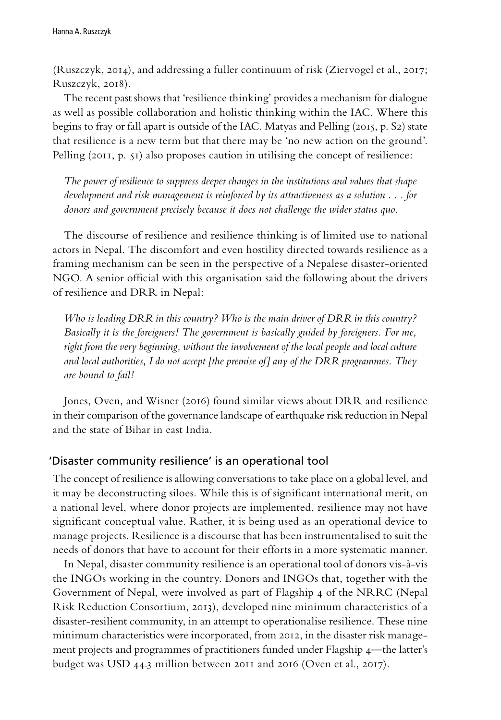(Ruszczyk, 2014), and addressing a fuller continuum of risk (Ziervogel et al., 2017; Ruszczyk, 2018).

The recent past shows that 'resilience thinking' provides a mechanism for dialogue as well as possible collaboration and holistic thinking within the IAC. Where this begins to fray or fall apart is outside of the IAC. Matyas and Pelling (2015, p. S2) state that resilience is a new term but that there may be 'no new action on the ground'. Pelling (2011, p. 51) also proposes caution in utilising the concept of resilience:

*The power of resilience to suppress deeper changes in the institutions and values that shape development and risk management is reinforced by its attractiveness as a solution . . . for donors and government precisely because it does not challenge the wider status quo.* 

The discourse of resilience and resilience thinking is of limited use to national actors in Nepal. The discomfort and even hostility directed towards resilience as a framing mechanism can be seen in the perspective of a Nepalese disaster-oriented NGO. A senior official with this organisation said the following about the drivers of resilience and DRR in Nepal:

*Who is leading DRR in this country? Who is the main driver of DRR in this country? Basically it is the foreigners! The government is basically guided by foreigners. For me, right from the very beginning, without the involvement of the local people and local culture and local authorities, I do not accept [the premise of] any of the DRR programmes. They are bound to fail!*

Jones, Oven, and Wisner (2016) found similar views about DRR and resilience in their comparison of the governance landscape of earthquake risk reduction in Nepal and the state of Bihar in east India.

#### 'Disaster community resilience' is an operational tool

The concept of resilience is allowing conversations to take place on a global level, and it may be deconstructing siloes. While this is of significant international merit, on a national level, where donor projects are implemented, resilience may not have significant conceptual value. Rather, it is being used as an operational device to manage projects. Resilience is a discourse that has been instrumentalised to suit the needs of donors that have to account for their efforts in a more systematic manner.

In Nepal, disaster community resilience is an operational tool of donors vis-à-vis the INGOs working in the country. Donors and INGOs that, together with the Government of Nepal, were involved as part of Flagship 4 of the NRRC (Nepal Risk Reduction Consortium, 2013), developed nine minimum characteristics of a disaster-resilient community, in an attempt to operationalise resilience. These nine minimum characteristics were incorporated, from 2012, in the disaster risk management projects and programmes of practitioners funded under Flagship 4—the latter's budget was USD 44.3 million between 2011 and 2016 (Oven et al., 2017).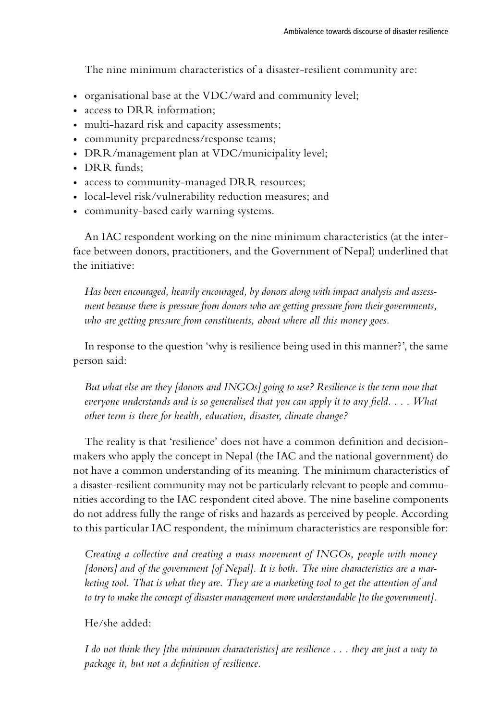The nine minimum characteristics of a disaster-resilient community are:

- organisational base at the VDC/ward and community level;
- access to DRR information;
- multi-hazard risk and capacity assessments;
- community preparedness/response teams;
- DRR/management plan at VDC/municipality level;
- DRR funds:
- access to community-managed DRR resources;
- local-level risk/vulnerability reduction measures; and
- community-based early warning systems.

An IAC respondent working on the nine minimum characteristics (at the interface between donors, practitioners, and the Government of Nepal) underlined that the initiative:

*Has been encouraged, heavily encouraged, by donors along with impact analysis and assessment because there is pressure from donors who are getting pressure from their governments, who are getting pressure from constituents, about where all this money goes.* 

In response to the question 'why is resilience being used in this manner?', the same person said:

*But what else are they [donors and INGOs] going to use? Resilience is the term now that everyone understands and is so generalised that you can apply it to any field. . . . What other term is there for health, education, disaster, climate change?* 

The reality is that 'resilience' does not have a common definition and decisionmakers who apply the concept in Nepal (the IAC and the national government) do not have a common understanding of its meaning. The minimum characteristics of a disaster-resilient community may not be particularly relevant to people and communities according to the IAC respondent cited above. The nine baseline components do not address fully the range of risks and hazards as perceived by people. According to this particular IAC respondent, the minimum characteristics are responsible for:

*Creating a collective and creating a mass movement of INGOs, people with money [donors] and of the government [of Nepal]. It is both. The nine characteristics are a marketing tool. That is what they are. They are a marketing tool to get the attention of and to try to make the concept of disaster management more understandable [to the government].*

He/she added:

*I do not think they [the minimum characteristics] are resilience . . . they are just a way to package it, but not a definition of resilience.*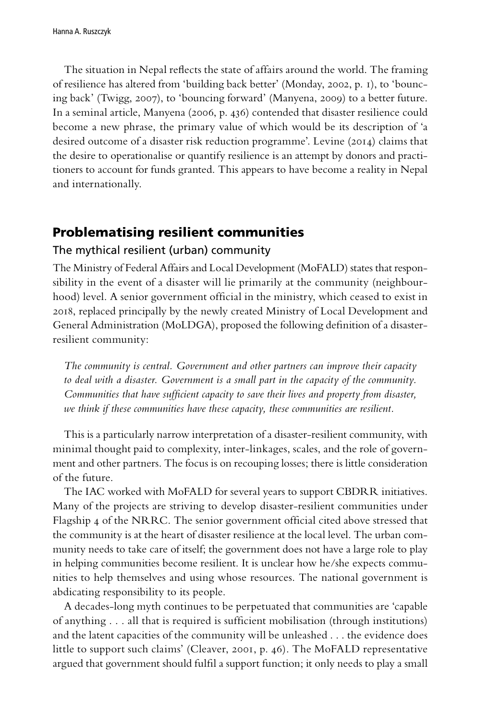The situation in Nepal reflects the state of affairs around the world. The framing of resilience has altered from 'building back better' (Monday, 2002, p. 1), to 'bouncing back' (Twigg, 2007), to 'bouncing forward' (Manyena, 2009) to a better future. In a seminal article, Manyena (2006, p. 436) contended that disaster resilience could become a new phrase, the primary value of which would be its description of 'a desired outcome of a disaster risk reduction programme'. Levine (2014) claims that the desire to operationalise or quantify resilience is an attempt by donors and practitioners to account for funds granted. This appears to have become a reality in Nepal and internationally.

## Problematising resilient communities

## The mythical resilient (urban) community

The Ministry of Federal Affairs and Local Development (MoFALD) states that responsibility in the event of a disaster will lie primarily at the community (neighbourhood) level. A senior government official in the ministry, which ceased to exist in 2018, replaced principally by the newly created Ministry of Local Development and General Administration (MoLDGA), proposed the following definition of a disasterresilient community:

*The community is central. Government and other partners can improve their capacity to deal with a disaster. Government is a small part in the capacity of the community. Communities that have sufficient capacity to save their lives and property from disaster, we think if these communities have these capacity, these communities are resilient.*

This is a particularly narrow interpretation of a disaster-resilient community, with minimal thought paid to complexity, inter-linkages, scales, and the role of government and other partners. The focus is on recouping losses; there is little consideration of the future.

The IAC worked with MoFALD for several years to support CBDRR initiatives. Many of the projects are striving to develop disaster-resilient communities under Flagship 4 of the NRRC. The senior government official cited above stressed that the community is at the heart of disaster resilience at the local level. The urban community needs to take care of itself; the government does not have a large role to play in helping communities become resilient. It is unclear how he/she expects communities to help themselves and using whose resources. The national government is abdicating responsibility to its people.

A decades-long myth continues to be perpetuated that communities are 'capable of anything . . . all that is required is sufficient mobilisation (through institutions) and the latent capacities of the community will be unleashed . . . the evidence does little to support such claims' (Cleaver, 2001, p. 46). The MoFALD representative argued that government should fulfil a support function; it only needs to play a small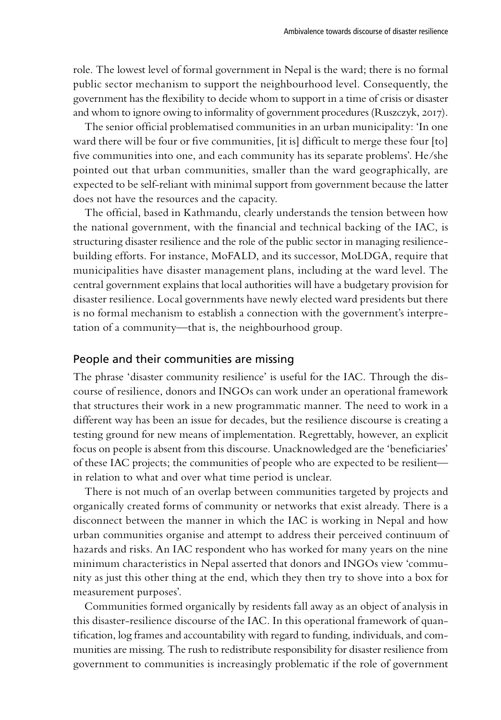role. The lowest level of formal government in Nepal is the ward; there is no formal public sector mechanism to support the neighbourhood level. Consequently, the government has the flexibility to decide whom to support in a time of crisis or disaster and whom to ignore owing to informality of government procedures (Ruszczyk, 2017).

The senior official problematised communities in an urban municipality: 'In one ward there will be four or five communities, [it is] difficult to merge these four [to] five communities into one, and each community has its separate problems'. He/she pointed out that urban communities, smaller than the ward geographically, are expected to be self-reliant with minimal support from government because the latter does not have the resources and the capacity.

The official, based in Kathmandu, clearly understands the tension between how the national government, with the financial and technical backing of the IAC, is structuring disaster resilience and the role of the public sector in managing resiliencebuilding efforts. For instance, MoFALD, and its successor, MoLDGA, require that municipalities have disaster management plans, including at the ward level. The central government explains that local authorities will have a budgetary provision for disaster resilience. Local governments have newly elected ward presidents but there is no formal mechanism to establish a connection with the government's interpretation of a community—that is, the neighbourhood group.

#### People and their communities are missing

The phrase 'disaster community resilience' is useful for the IAC. Through the discourse of resilience, donors and INGOs can work under an operational framework that structures their work in a new programmatic manner. The need to work in a different way has been an issue for decades, but the resilience discourse is creating a testing ground for new means of implementation. Regrettably, however, an explicit focus on people is absent from this discourse. Unacknowledged are the 'beneficiaries' of these IAC projects; the communities of people who are expected to be resilient in relation to what and over what time period is unclear.

There is not much of an overlap between communities targeted by projects and organically created forms of community or networks that exist already. There is a disconnect between the manner in which the IAC is working in Nepal and how urban communities organise and attempt to address their perceived continuum of hazards and risks. An IAC respondent who has worked for many years on the nine minimum characteristics in Nepal asserted that donors and INGOs view 'community as just this other thing at the end, which they then try to shove into a box for measurement purposes'.

Communities formed organically by residents fall away as an object of analysis in this disaster-resilience discourse of the IAC. In this operational framework of quantification, log frames and accountability with regard to funding, individuals, and communities are missing. The rush to redistribute responsibility for disaster resilience from government to communities is increasingly problematic if the role of government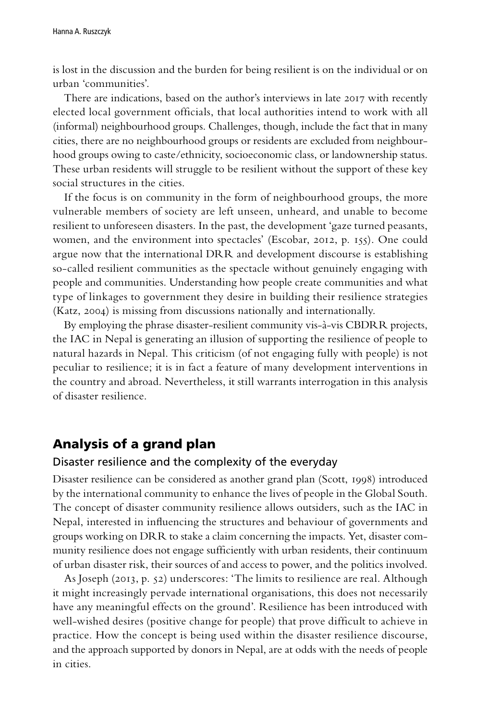is lost in the discussion and the burden for being resilient is on the individual or on urban 'communities'.

There are indications, based on the author's interviews in late 2017 with recently elected local government officials, that local authorities intend to work with all (informal) neighbourhood groups. Challenges, though, include the fact that in many cities, there are no neighbourhood groups or residents are excluded from neighbourhood groups owing to caste/ethnicity, socioeconomic class, or landownership status. These urban residents will struggle to be resilient without the support of these key social structures in the cities.

If the focus is on community in the form of neighbourhood groups, the more vulnerable members of society are left unseen, unheard, and unable to become resilient to unforeseen disasters. In the past, the development 'gaze turned peasants, women, and the environment into spectacles' (Escobar, 2012, p. 155). One could argue now that the international DRR and development discourse is establishing so-called resilient communities as the spectacle without genuinely engaging with people and communities. Understanding how people create communities and what type of linkages to government they desire in building their resilience strategies (Katz, 2004) is missing from discussions nationally and internationally.

By employing the phrase disaster-resilient community vis-à-vis CBDRR projects, the IAC in Nepal is generating an illusion of supporting the resilience of people to natural hazards in Nepal. This criticism (of not engaging fully with people) is not peculiar to resilience; it is in fact a feature of many development interventions in the country and abroad. Nevertheless, it still warrants interrogation in this analysis of disaster resilience.

## Analysis of a grand plan

## Disaster resilience and the complexity of the everyday

Disaster resilience can be considered as another grand plan (Scott, 1998) introduced by the international community to enhance the lives of people in the Global South. The concept of disaster community resilience allows outsiders, such as the IAC in Nepal, interested in influencing the structures and behaviour of governments and groups working on DRR to stake a claim concerning the impacts. Yet, disaster community resilience does not engage sufficiently with urban residents, their continuum of urban disaster risk, their sources of and access to power, and the politics involved.

As Joseph (2013, p. 52) underscores: 'The limits to resilience are real. Although it might increasingly pervade international organisations, this does not necessarily have any meaningful effects on the ground'. Resilience has been introduced with well-wished desires (positive change for people) that prove difficult to achieve in practice. How the concept is being used within the disaster resilience discourse, and the approach supported by donors in Nepal, are at odds with the needs of people in cities.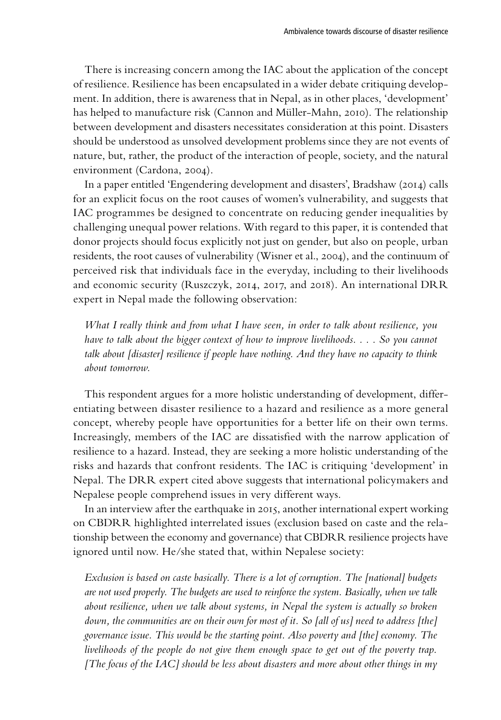There is increasing concern among the IAC about the application of the concept of resilience. Resilience has been encapsulated in a wider debate critiquing development. In addition, there is awareness that in Nepal, as in other places, 'development' has helped to manufacture risk (Cannon and Müller-Mahn, 2010). The relationship between development and disasters necessitates consideration at this point. Disasters should be understood as unsolved development problems since they are not events of nature, but, rather, the product of the interaction of people, society, and the natural environment (Cardona, 2004).

In a paper entitled 'Engendering development and disasters', Bradshaw (2014) calls for an explicit focus on the root causes of women's vulnerability, and suggests that IAC programmes be designed to concentrate on reducing gender inequalities by challenging unequal power relations. With regard to this paper, it is contended that donor projects should focus explicitly not just on gender, but also on people, urban residents, the root causes of vulnerability (Wisner et al., 2004), and the continuum of perceived risk that individuals face in the everyday, including to their livelihoods and economic security (Ruszczyk, 2014, 2017, and 2018). An international DRR expert in Nepal made the following observation:

*What I really think and from what I have seen, in order to talk about resilience, you have to talk about the bigger context of how to improve livelihoods. . . . So you cannot talk about [disaster] resilience if people have nothing. And they have no capacity to think about tomorrow.* 

This respondent argues for a more holistic understanding of development, differentiating between disaster resilience to a hazard and resilience as a more general concept, whereby people have opportunities for a better life on their own terms. Increasingly, members of the IAC are dissatisfied with the narrow application of resilience to a hazard. Instead, they are seeking a more holistic understanding of the risks and hazards that confront residents. The IAC is critiquing 'development' in Nepal. The DRR expert cited above suggests that international policymakers and Nepalese people comprehend issues in very different ways.

In an interview after the earthquake in 2015, another international expert working on CBDRR highlighted interrelated issues (exclusion based on caste and the relationship between the economy and governance) that CBDRR resilience projects have ignored until now. He/she stated that, within Nepalese society:

*Exclusion is based on caste basically. There is a lot of corruption. The [national] budgets are not used properly. The budgets are used to reinforce the system. Basically, when we talk about resilience, when we talk about systems, in Nepal the system is actually so broken down, the communities are on their own for most of it. So [all of us] need to address [the] governance issue. This would be the starting point. Also poverty and [the] economy. The livelihoods of the people do not give them enough space to get out of the poverty trap. [The focus of the IAC] should be less about disasters and more about other things in my*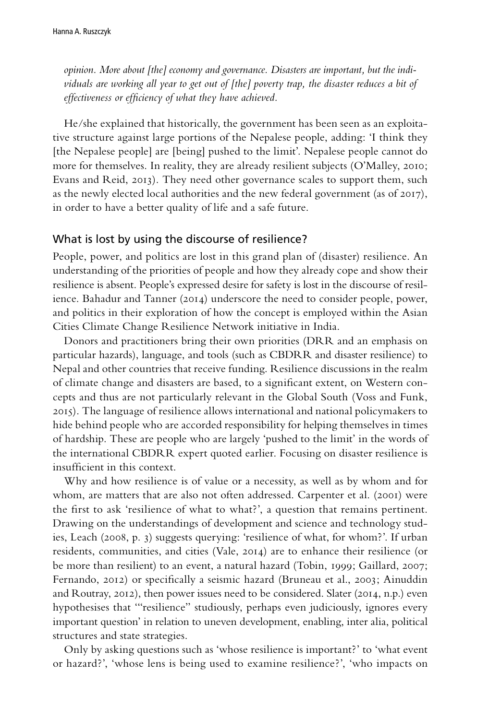*opinion. More about [the] economy and governance. Disasters are important, but the individuals are working all year to get out of [the] poverty trap, the disaster reduces a bit of effectiveness or efficiency of what they have achieved.*

He/she explained that historically, the government has been seen as an exploitative structure against large portions of the Nepalese people, adding: 'I think they [the Nepalese people] are [being] pushed to the limit'. Nepalese people cannot do more for themselves. In reality, they are already resilient subjects (O'Malley, 2010; Evans and Reid, 2013). They need other governance scales to support them, such as the newly elected local authorities and the new federal government (as of 2017), in order to have a better quality of life and a safe future.

#### What is lost by using the discourse of resilience?

People, power, and politics are lost in this grand plan of (disaster) resilience. An understanding of the priorities of people and how they already cope and show their resilience is absent. People's expressed desire for safety is lost in the discourse of resilience. Bahadur and Tanner (2014) underscore the need to consider people, power, and politics in their exploration of how the concept is employed within the Asian Cities Climate Change Resilience Network initiative in India.

Donors and practitioners bring their own priorities (DRR and an emphasis on particular hazards), language, and tools (such as CBDRR and disaster resilience) to Nepal and other countries that receive funding. Resilience discussions in the realm of climate change and disasters are based, to a significant extent, on Western concepts and thus are not particularly relevant in the Global South (Voss and Funk, 2015). The language of resilience allows international and national policymakers to hide behind people who are accorded responsibility for helping themselves in times of hardship. These are people who are largely 'pushed to the limit' in the words of the international CBDRR expert quoted earlier. Focusing on disaster resilience is insufficient in this context.

Why and how resilience is of value or a necessity, as well as by whom and for whom, are matters that are also not often addressed. Carpenter et al. (2001) were the first to ask 'resilience of what to what?', a question that remains pertinent. Drawing on the understandings of development and science and technology studies, Leach (2008, p. 3) suggests querying: 'resilience of what, for whom?'. If urban residents, communities, and cities (Vale, 2014) are to enhance their resilience (or be more than resilient) to an event, a natural hazard (Tobin, 1999; Gaillard, 2007; Fernando, 2012) or specifically a seismic hazard (Bruneau et al., 2003; Ainuddin and Routray, 2012), then power issues need to be considered. Slater (2014, n.p.) even hypothesises that '"resilience" studiously, perhaps even judiciously, ignores every important question' in relation to uneven development, enabling, inter alia, political structures and state strategies.

Only by asking questions such as 'whose resilience is important?' to 'what event or hazard?', 'whose lens is being used to examine resilience?', 'who impacts on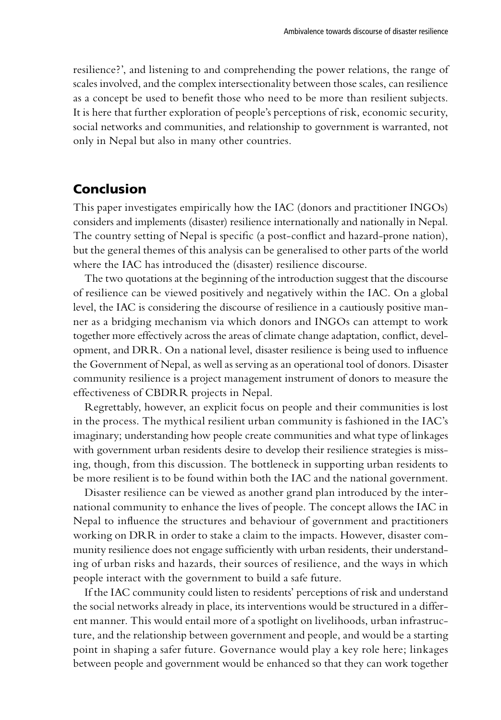resilience?', and listening to and comprehending the power relations, the range of scales involved, and the complex intersectionality between those scales, can resilience as a concept be used to benefit those who need to be more than resilient subjects. It is here that further exploration of people's perceptions of risk, economic security, social networks and communities, and relationship to government is warranted, not only in Nepal but also in many other countries.

## Conclusion

This paper investigates empirically how the IAC (donors and practitioner INGOs) considers and implements (disaster) resilience internationally and nationally in Nepal. The country setting of Nepal is specific (a post-conflict and hazard-prone nation), but the general themes of this analysis can be generalised to other parts of the world where the IAC has introduced the (disaster) resilience discourse.

The two quotations at the beginning of the introduction suggest that the discourse of resilience can be viewed positively and negatively within the IAC. On a global level, the IAC is considering the discourse of resilience in a cautiously positive manner as a bridging mechanism via which donors and INGOs can attempt to work together more effectively across the areas of climate change adaptation, conflict, development, and DRR. On a national level, disaster resilience is being used to influence the Government of Nepal, as well as serving as an operational tool of donors. Disaster community resilience is a project management instrument of donors to measure the effectiveness of CBDRR projects in Nepal.

Regrettably, however, an explicit focus on people and their communities is lost in the process. The mythical resilient urban community is fashioned in the IAC's imaginary; understanding how people create communities and what type of linkages with government urban residents desire to develop their resilience strategies is missing, though, from this discussion. The bottleneck in supporting urban residents to be more resilient is to be found within both the IAC and the national government.

Disaster resilience can be viewed as another grand plan introduced by the international community to enhance the lives of people. The concept allows the IAC in Nepal to influence the structures and behaviour of government and practitioners working on DRR in order to stake a claim to the impacts. However, disaster community resilience does not engage sufficiently with urban residents, their understanding of urban risks and hazards, their sources of resilience, and the ways in which people interact with the government to build a safe future.

If the IAC community could listen to residents' perceptions of risk and understand the social networks already in place, its interventions would be structured in a different manner. This would entail more of a spotlight on livelihoods, urban infrastructure, and the relationship between government and people, and would be a starting point in shaping a safer future. Governance would play a key role here; linkages between people and government would be enhanced so that they can work together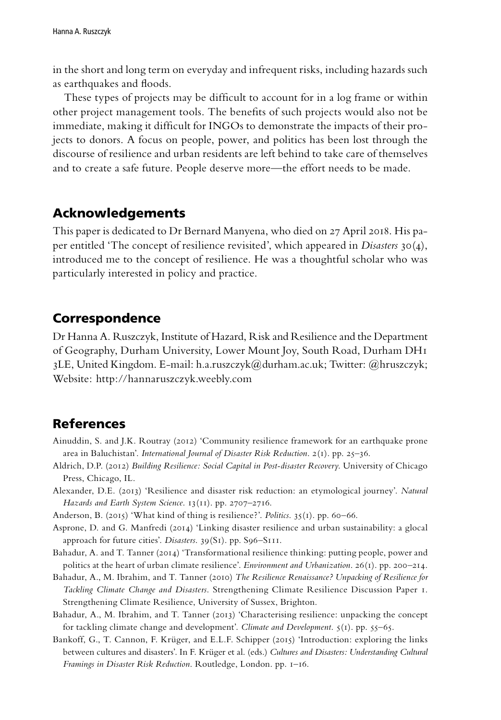in the short and long term on everyday and infrequent risks, including hazards such as earthquakes and floods.

These types of projects may be difficult to account for in a log frame or within other project management tools. The benefits of such projects would also not be immediate, making it difficult for INGOs to demonstrate the impacts of their projects to donors. A focus on people, power, and politics has been lost through the discourse of resilience and urban residents are left behind to take care of themselves and to create a safe future. People deserve more—the effort needs to be made.

## Acknowledgements

This paper is dedicated to Dr Bernard Manyena, who died on 27 April 2018. His paper entitled 'The concept of resilience revisited', which appeared in *Disasters* 30(4), introduced me to the concept of resilience. He was a thoughtful scholar who was particularly interested in policy and practice.

# **Correspondence**

Dr Hanna A. Ruszczyk, Institute of Hazard, Risk and Resilience and the Department of Geography, Durham University, Lower Mount Joy, South Road, Durham DH1 3LE, United Kingdom. E-mail: h.a.ruszczyk@durham.ac.uk; Twitter: @hruszczyk; Website: http://hannaruszczyk.weebly.com

# References

- Ainuddin, S. and J.K. Routray (2012) 'Community resilience framework for an earthquake prone area in Baluchistan'. *International Journal of Disaster Risk Reduction*. 2(1). pp. 25–36.
- Aldrich, D.P. (2012) *Building Resilience: Social Capital in Post-disaster Recovery*. University of Chicago Press, Chicago, IL.
- Alexander, D.E. (2013) 'Resilience and disaster risk reduction: an etymological journey'. *Natural Hazards and Earth System Science*. 13(11). pp. 2707–2716.
- Anderson, B. (2015) 'What kind of thing is resilience?'. *Politics*. 35(1). pp. 60–66.
- Asprone, D. and G. Manfredi (2014) 'Linking disaster resilience and urban sustainability: a glocal approach for future cities'. *Disasters*. 39(S1). pp. S96–S111.
- Bahadur, A. and T. Tanner (2014) 'Transformational resilience thinking: putting people, power and politics at the heart of urban climate resilience'. *Environment and Urbanization*. 26(1). pp. 200–214.
- Bahadur, A., M. Ibrahim, and T. Tanner (2010) *The Resilience Renaissance? Unpacking of Resilience for Tackling Climate Change and Disasters*. Strengthening Climate Resilience Discussion Paper 1. Strengthening Climate Resilience, University of Sussex, Brighton.
- Bahadur, A., M. Ibrahim, and T. Tanner (2013) 'Characterising resilience: unpacking the concept for tackling climate change and development'. *Climate and Development*. 5(1). pp. 55–65.
- Bankoff, G., T. Cannon, F. Krüger, and E.L.F. Schipper (2015) 'Introduction: exploring the links between cultures and disasters'. In F. Krüger et al. (eds.) *Cultures and Disasters: Understanding Cultural Framings in Disaster Risk Reduction*. Routledge, London. pp. 1–16.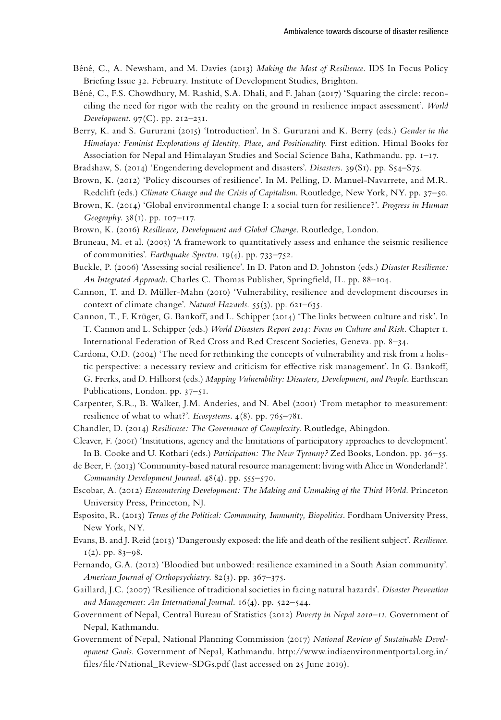- Béné, C., A. Newsham, and M. Davies (2013) *Making the Most of Resilience*. IDS In Focus Policy Briefing Issue 32. February. Institute of Development Studies, Brighton.
- Béné, C., F.S. Chowdhury, M. Rashid, S.A. Dhali, and F. Jahan (2017) 'Squaring the circle: reconciling the need for rigor with the reality on the ground in resilience impact assessment'. *World Development*. 97(C). pp. 212–231.
- Berry, K. and S. Gururani (2015) 'Introduction'. In S. Gururani and K. Berry (eds.) *Gender in the Himalaya: Feminist Explorations of Identity, Place, and Positionality*. First edition. Himal Books for Association for Nepal and Himalayan Studies and Social Science Baha, Kathmandu. pp. 1–17.
- Bradshaw, S. (2014) 'Engendering development and disasters'. *Disasters*. 39(S1). pp. S54–S75.
- Brown, K. (2012) 'Policy discourses of resilience'. In M. Pelling, D. Manuel-Navarrete, and M.R. Redclift (eds.) *Climate Change and the Crisis of Capitalism*. Routledge, New York, NY. pp. 37–50.
- Brown, K. (2014) 'Global environmental change I: a social turn for resilience?'. *Progress in Human Geography*. 38(1). pp. 107–117.
- Brown, K. (2016) *Resilience, Development and Global Change*. Routledge, London.
- Bruneau, M. et al. (2003) 'A framework to quantitatively assess and enhance the seismic resilience of communities'. *Earthquake Spectra*. 19(4). pp. 733–752.
- Buckle, P. (2006) 'Assessing social resilience'. In D. Paton and D. Johnston (eds.) *Disaster Resilience: An Integrated Approach*. Charles C. Thomas Publisher, Springfield, IL. pp. 88–104.
- Cannon, T. and D. Müller-Mahn (2010) 'Vulnerability, resilience and development discourses in context of climate change'. *Natural Hazards*. 55(3). pp. 621–635.
- Cannon, T., F. Krüger, G. Bankoff, and L. Schipper (2014) 'The links between culture and risk'. In T. Cannon and L. Schipper (eds.) *World Disasters Report 2014: Focus on Culture and Risk*. Chapter 1. International Federation of Red Cross and Red Crescent Societies, Geneva. pp. 8–34.
- Cardona, O.D. (2004) 'The need for rethinking the concepts of vulnerability and risk from a holistic perspective: a necessary review and criticism for effective risk management'. In G. Bankoff, G. Frerks, and D. Hilhorst (eds.) *Mapping Vulnerability: Disasters, Development, and People*. Earthscan Publications, London. pp. 37–51.
- Carpenter, S.R., B. Walker, J.M. Anderies, and N. Abel (2001) 'From metaphor to measurement: resilience of what to what?'. *Ecosystems*. 4(8). pp. 765–781.
- Chandler, D. (2014) *Resilience: The Governance of Complexity*. Routledge, Abingdon.
- Cleaver, F. (2001) 'Institutions, agency and the limitations of participatory approaches to development'. In B. Cooke and U. Kothari (eds.) *Participation: The New Tyranny?* Zed Books, London. pp. 36–55.
- de Beer, F. (2013) 'Community-based natural resource management: living with Alice in Wonderland?'. *Community Development Journal*. 48(4). pp. 555–570.
- Escobar, A. (2012) *Encountering Development: The Making and Unmaking of the Third World*. Princeton University Press, Princeton, NJ.
- Esposito, R. (2013) *Terms of the Political: Community, Immunity, Biopolitics*. Fordham University Press, New York, NY.
- Evans, B. and J. Reid (2013) 'Dangerously exposed: the life and death of the resilient subject'. *Resilience*.  $I(2)$ . pp. 83–98.
- Fernando, G.A. (2012) 'Bloodied but unbowed: resilience examined in a South Asian community'. *American Journal of Orthopsychiatry*. 82(3). pp. 367–375.
- Gaillard, J.C. (2007) 'Resilience of traditional societies in facing natural hazards'. *Disaster Prevention and Management: An International Journal*. 16(4). pp. 522–544.
- Government of Nepal, Central Bureau of Statistics (2012) *Poverty in Nepal 2010–11*. Government of Nepal, Kathmandu.
- Government of Nepal, National Planning Commission (2017) *National Review of Sustainable Development Goals*. Government of Nepal, Kathmandu. http://www.indiaenvironmentportal.org.in/ files/file/National\_Review-SDGs.pdf (last accessed on 25 June 2019).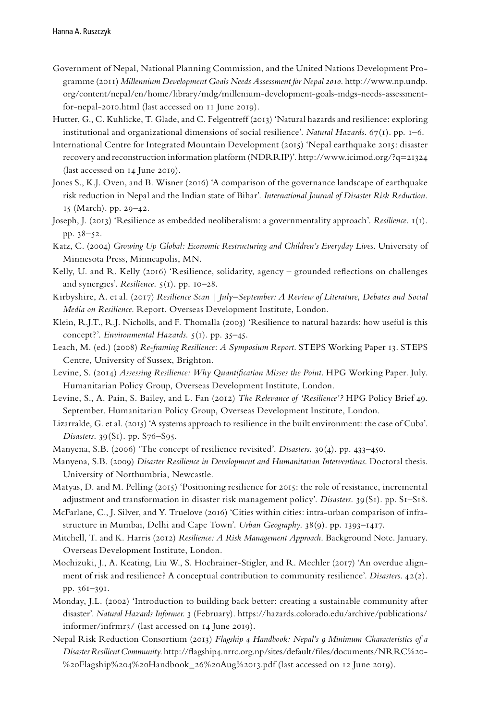- Government of Nepal, National Planning Commission, and the United Nations Development Programme (2011) *Millennium Development Goals Needs Assessment for Nepal 2010*. http://www.np.undp. org/content/nepal/en/home/library/mdg/millenium-development-goals-mdgs-needs-assessmentfor-nepal-2010.html (last accessed on 11 June 2019).
- Hutter, G., C. Kuhlicke, T. Glade, and C. Felgentreff (2013) 'Natural hazards and resilience: exploring institutional and organizational dimensions of social resilience'. *Natural Hazards*. 67(1). pp. 1–6.
- International Centre for Integrated Mountain Development (2015) 'Nepal earthquake 2015: disaster recovery and reconstruction information platform (NDRRIP)'. [http://www.icimod.org/?q=](http://www.icimod.org/?q=21324)21324 (last accessed on 14 June 2019).
- Jones S., K.J. Oven, and B. Wisner (2016) 'A comparison of the governance landscape of earthquake risk reduction in Nepal and the Indian state of Bihar'. *International Journal of Disaster Risk Reduction*. 15 (March). pp. 29–42.
- Joseph, J. (2013) 'Resilience as embedded neoliberalism: a governmentality approach'. *Resilience*. 1(1). pp. 38–52.
- Katz, C. (2004) *Growing Up Global: Economic Restructuring and Children's Everyday Lives*. University of Minnesota Press, Minneapolis, MN.
- Kelly, U. and R. Kelly (2016) 'Resilience, solidarity, agency grounded reflections on challenges and synergies'. *Resilience*. 5(1). pp. 10–28.
- Kirbyshire, A. et al. (2017) *Resilience Scan* | *July–September: A Review of Literature, Debates and Social Media on Resilience*. Report. Overseas Development Institute, London.
- Klein, R.J.T., R.J. Nicholls, and F. Thomalla (2003) 'Resilience to natural hazards: how useful is this concept?'. *Environmental Hazards*. 5(1). pp. 35–45.
- Leach, M. (ed.) (2008) *Re-framing Resilience: A Symposium Report*. STEPS Working Paper 13. STEPS Centre, University of Sussex, Brighton.
- Levine, S. (2014) *Assessing Resilience: Why Quantification Misses the Point*. HPG Working Paper. July. Humanitarian Policy Group, Overseas Development Institute, London.
- Levine, S., A. Pain, S. Bailey, and L. Fan (2012) *The Relevance of 'Resilience'?* HPG Policy Brief 49. September. Humanitarian Policy Group, Overseas Development Institute, London.
- Lizarralde, G. et al. (2015) 'A systems approach to resilience in the built environment: the case of Cuba'. *Disasters*. 39(S1). pp. S76–S95.
- Manyena, S.B. (2006) 'The concept of resilience revisited'. *Disasters*. 30(4). pp. 433–450.
- Manyena, S.B. (2009) *Disaster Resilience in Development and Humanitarian Interventions*. Doctoral thesis. University of Northumbria, Newcastle.
- Matyas, D. and M. Pelling (2015) 'Positioning resilience for 2015: the role of resistance, incremental adjustment and transformation in disaster risk management policy'. *Disasters*. 39(S1). pp. S1–S18.
- McFarlane, C., J. Silver, and Y. Truelove (2016) 'Cities within cities: intra-urban comparison of infrastructure in Mumbai, Delhi and Cape Town'. *Urban Geography*. 38(9). pp. 1393–1417.
- Mitchell, T. and K. Harris (2012) *Resilience: A Risk Management Approach*. Background Note. January. Overseas Development Institute, London.
- Mochizuki, J., A. Keating, Liu W., S. Hochrainer-Stigler, and R. Mechler (2017) 'An overdue alignment of risk and resilience? A conceptual contribution to community resilience'. *Disasters*. 42(2). pp. 361–391.
- Monday, J.L. (2002) 'Introduction to building back better: creating a sustainable community after disaster'. *Natural Hazards Informer*. 3 (February). [https://hazards.colorado.edu/archive/publications/](https://hazards.colorado.edu/archive/publications/informer/infrmr3/) [informer/infrmr](https://hazards.colorado.edu/archive/publications/informer/infrmr3/)3/ (last accessed on 14 June 2019).
- Nepal Risk Reduction Consortium (2013) *Flagship 4 Handbook: Nepal's 9 Minimum Characteristics of a Disaster Resilient Community*. http://flagship4[.nrrc.org.np/sites/default/files/documents/NRRC%](http://flagship4.nrrc.org.np/sites/default/files/documents/NRRC%20-%20Flagship%204%20Handbook_26%20Aug%2013.pdf)20- %20Flagship%204%20[Handbook\\_](http://flagship4.nrrc.org.np/sites/default/files/documents/NRRC%20-%20Flagship%204%20Handbook_26%20Aug%2013.pdf)26%20Aug%2013.pdf (last accessed on 12 June 2019).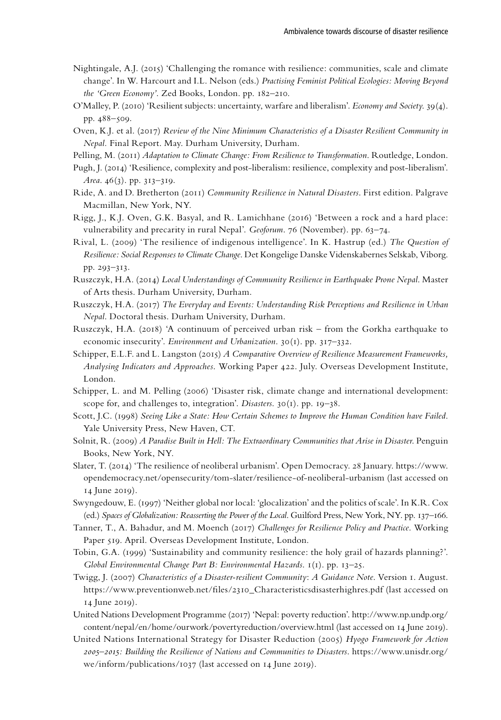- Nightingale, A.J. (2015) 'Challenging the romance with resilience: communities, scale and climate change'. In W. Harcourt and I.L. Nelson (eds.) *Practising Feminist Political Ecologies: Moving Beyond the 'Green Economy'*. Zed Books, London. pp. 182–210.
- O'Malley, P. (2010) 'Resilient subjects: uncertainty, warfare and liberalism'. *Economy and Society*. 39(4). pp. 488–509.
- Oven, K.J. et al. (2017) *Review of the Nine Minimum Characteristics of a Disaster Resilient Community in Nepal.* Final Report. May. Durham University, Durham.
- Pelling, M. (2011) *Adaptation to Climate Change: From Resilience to Transformation*. Routledge, London.
- Pugh, J. (2014) 'Resilience, complexity and post-liberalism: resilience, complexity and post-liberalism'. *Area*. 46(3). pp. 313–319.
- Ride, A. and D. Bretherton (2011) *Community Resilience in Natural Disasters*. First edition. Palgrave Macmillan, New York, NY.
- Rigg, J., K.J. Oven, G.K. Basyal, and R. Lamichhane (2016) 'Between a rock and a hard place: vulnerability and precarity in rural Nepal'. *Geoforum*. 76 (November). pp. 63–74.
- Rival, L. (2009) 'The resilience of indigenous intelligence'. In K. Hastrup (ed.) *The Question of Resilience: Social Responses to Climate Change*. Det Kongelige Danske Videnskabernes Selskab, Viborg. pp. 293–313.
- Ruszczyk, H.A. (2014) *Local Understandings of Community Resilience in Earthquake Prone Nepal*. Master of Arts thesis. Durham University, Durham.
- Ruszczyk, H.A. (2017) *The Everyday and Events: Understanding Risk Perceptions and Resilience in Urban Nepal*. Doctoral thesis. Durham University, Durham.
- Ruszczyk, H.A. (2018) 'A continuum of perceived urban risk from the Gorkha earthquake to economic insecurity'. *Environment and Urbanization*. 30(1). pp. 317–332.
- Schipper, E.L.F. and L. Langston (2015) *A Comparative Overview of Resilience Measurement Frameworks, Analysing Indicators and Approaches*. Working Paper 422. July. Overseas Development Institute, London.
- Schipper, L. and M. Pelling (2006) 'Disaster risk, climate change and international development: scope for, and challenges to, integration'. *Disasters*. 30(1). pp. 19–38.
- Scott, J.C. (1998) *Seeing Like a State: How Certain Schemes to Improve the Human Condition have Failed*. Yale University Press, New Haven, CT.
- Solnit, R. (2009) *A Paradise Built in Hell: The Extraordinary Communities that Arise in Disaster*. Penguin Books, New York, NY.
- Slater, T. (2014) 'The resilience of neoliberal urbanism'. Open Democracy. 28 January. https://www. opendemocracy.net/opensecurity/tom-slater/resilience-of-neoliberal-urbanism (last accessed on 14 June 2019).
- Swyngedouw, E. (1997) 'Neither global nor local: 'glocalization' and the politics of scale'. In K.R. Cox (ed.) *Spaces of Globalization: Reasserting the Power of the Local*. Guilford Press, New York, NY. pp. 137–166.
- Tanner, T., A. Bahadur, and M. Moench (2017) *Challenges for Resilience Policy and Practice*. Working Paper 519. April. Overseas Development Institute, London.
- Tobin, G.A. (1999) 'Sustainability and community resilience: the holy grail of hazards planning?'. *Global Environmental Change Part B: Environmental Hazards*. 1(1). pp. 13–25.
- Twigg, J. (2007) *Characteristics of a Disaster-resilient Community*: *A Guidance Note*. Version 1. August. [https://www.preventionweb.net/files/](https://www.preventionweb.net/files/2310_Characteristicsdisasterhighres.pdf)2310\_Characteristicsdisasterhighres.pdf (last accessed on 14 June 2019).
- United Nations Development Programme (2017) 'Nepal: poverty reduction'. http://www.np.undp.org/ content/nepal/en/home/ourwork/povertyreduction/overview.html (last accessed on 14 June 2019).
- United Nations International Strategy for Disaster Reduction (2005) *Hyogo Framework for Action 2005–2015: Building the Resilience of Nations and Communities to Disasters*. [https://www.unisdr.org/](https://www.unisdr.org/we/inform/publications/1037) [we/inform/publications/](https://www.unisdr.org/we/inform/publications/1037)1037 (last accessed on 14 June 2019).